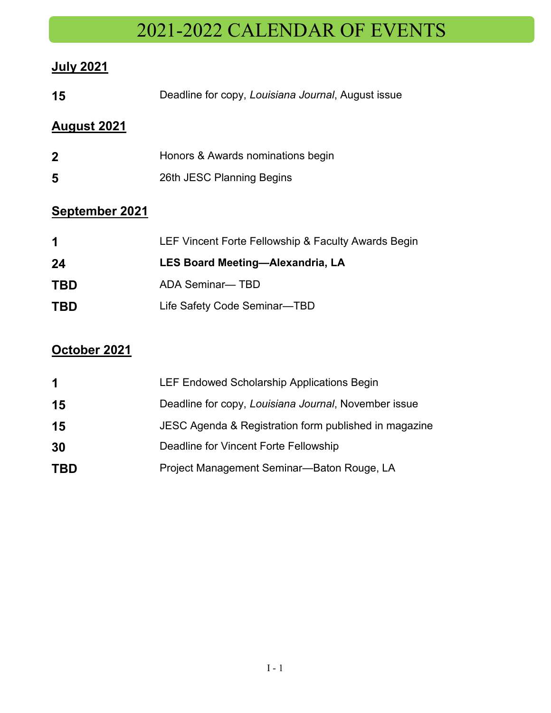# 2021-2022 CALENDAR OF EVENTS

#### **July 2021**

| 15                    | Deadline for copy, Louisiana Journal, August issue  |
|-----------------------|-----------------------------------------------------|
| <b>August 2021</b>    |                                                     |
| 2                     | Honors & Awards nominations begin                   |
| 5                     | 26th JESC Planning Begins                           |
| <b>September 2021</b> |                                                     |
| 1                     | LEF Vincent Forte Fellowship & Faculty Awards Begin |
| 24                    | <b>LES Board Meeting-Alexandria, LA</b>             |
| TBD                   | ADA Seminar— TBD                                    |
| TBD                   | Life Safety Code Seminar-TBD                        |
|                       |                                                     |

### **October 2021**

| LEF Endowed Scholarship Applications Begin            |
|-------------------------------------------------------|
| Deadline for copy, Louisiana Journal, November issue  |
| JESC Agenda & Registration form published in magazine |
| Deadline for Vincent Forte Fellowship                 |
| Project Management Seminar-Baton Rouge, LA            |
|                                                       |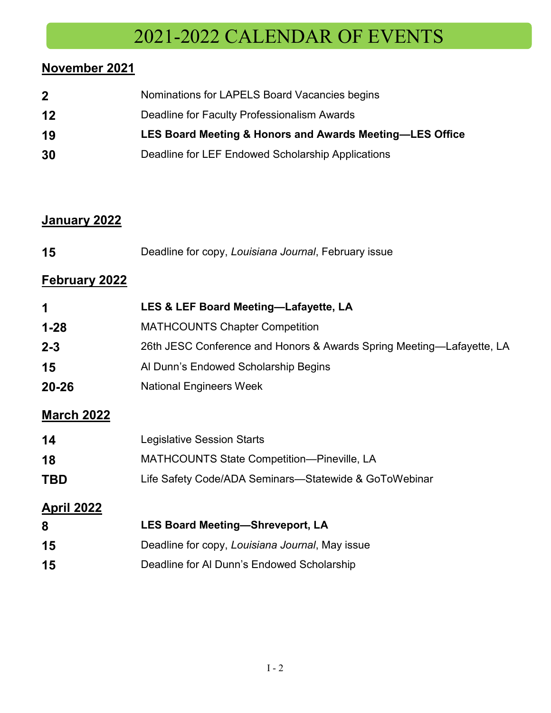## -2022 CALENDAR OF EVENTS

### **November 2021**

| $\mathbf{2}$ | Nominations for LAPELS Board Vacancies begins            |
|--------------|----------------------------------------------------------|
| 12           | Deadline for Faculty Professionalism Awards              |
| 19           | LES Board Meeting & Honors and Awards Meeting-LES Office |
| 30           | Deadline for LEF Endowed Scholarship Applications        |

#### **January 2022**

| 15 | Deadline for copy, Louisiana Journal, February issue |
|----|------------------------------------------------------|
|----|------------------------------------------------------|

#### **February 2022**

| 1                 | LES & LEF Board Meeting-Lafayette, LA                                 |
|-------------------|-----------------------------------------------------------------------|
| $1 - 28$          | <b>MATHCOUNTS Chapter Competition</b>                                 |
| $2 - 3$           | 26th JESC Conference and Honors & Awards Spring Meeting—Lafayette, LA |
| 15                | Al Dunn's Endowed Scholarship Begins                                  |
| $20 - 26$         | <b>National Engineers Week</b>                                        |
| <b>March 2022</b> |                                                                       |
| 14                | Legislative Session Starts                                            |
| 18                | <b>MATHCOUNTS State Competition-Pineville, LA</b>                     |
| <b>TBD</b>        | Life Safety Code/ADA Seminars—Statewide & GoToWebinar                 |
| <b>April 2022</b> |                                                                       |
| 8                 | <b>LES Board Meeting-Shreveport, LA</b>                               |
| 15                | Deadline for copy, Louisiana Journal, May issue                       |
| 15                | Deadline for Al Dunn's Endowed Scholarship                            |